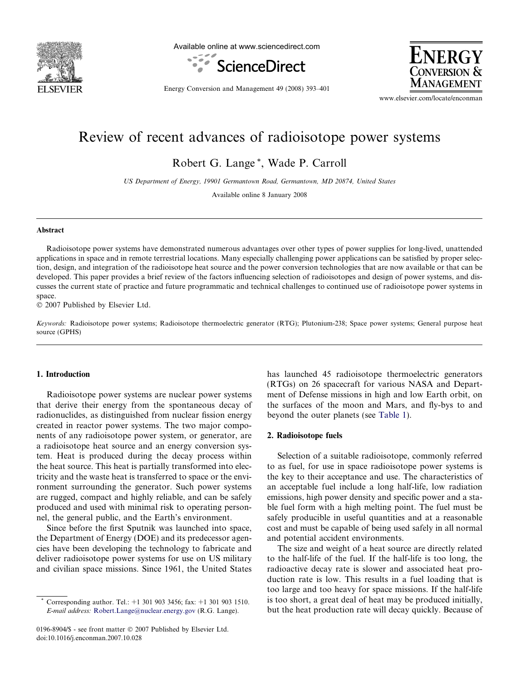

Available online at www.sciencedirect.com





Energy Conversion and Management 49 (2008) 393–401

www.elsevier.com/locate/enconman

# Review of recent advances of radioisotope power systems

Robert G. Lange \*, Wade P. Carroll

US Department of Energy, 19901 Germantown Road, Germantown, MD 20874, United States

Available online 8 January 2008

### Abstract

Radioisotope power systems have demonstrated numerous advantages over other types of power supplies for long-lived, unattended applications in space and in remote terrestrial locations. Many especially challenging power applications can be satisfied by proper selection, design, and integration of the radioisotope heat source and the power conversion technologies that are now available or that can be developed. This paper provides a brief review of the factors influencing selection of radioisotopes and design of power systems, and discusses the current state of practice and future programmatic and technical challenges to continued use of radioisotope power systems in space.

 $© 2007$  Published by Elsevier Ltd.

Keywords: Radioisotope power systems; Radioisotope thermoelectric generator (RTG); Plutonium-238; Space power systems; General purpose heat source (GPHS)

#### 1. Introduction

Radioisotope power systems are nuclear power systems that derive their energy from the spontaneous decay of radionuclides, as distinguished from nuclear fission energy created in reactor power systems. The two major components of any radioisotope power system, or generator, are a radioisotope heat source and an energy conversion system. Heat is produced during the decay process within the heat source. This heat is partially transformed into electricity and the waste heat is transferred to space or the environment surrounding the generator. Such power systems are rugged, compact and highly reliable, and can be safely produced and used with minimal risk to operating personnel, the general public, and the Earth's environment.

Since before the first Sputnik was launched into space, the Department of Energy (DOE) and its predecessor agencies have been developing the technology to fabricate and deliver radioisotope power systems for use on US military and civilian space missions. Since 1961, the United States

0196-8904/\$ - see front matter © 2007 Published by Elsevier Ltd. doi:10.1016/j.enconman.2007.10.028

has launched 45 radioisotope thermoelectric generators (RTGs) on 26 spacecraft for various NASA and Department of Defense missions in high and low Earth orbit, on the surfaces of the moon and Mars, and fly-bys to and beyond the outer planets (see [Table 1](#page-1-0)).

## 2. Radioisotope fuels

Selection of a suitable radioisotope, commonly referred to as fuel, for use in space radioisotope power systems is the key to their acceptance and use. The characteristics of an acceptable fuel include a long half-life, low radiation emissions, high power density and specific power and a stable fuel form with a high melting point. The fuel must be safely producible in useful quantities and at a reasonable cost and must be capable of being used safely in all normal and potential accident environments.

The size and weight of a heat source are directly related to the half-life of the fuel. If the half-life is too long, the radioactive decay rate is slower and associated heat production rate is low. This results in a fuel loading that is too large and too heavy for space missions. If the half-life is too short, a great deal of heat may be produced initially, but the heat production rate will decay quickly. Because of

Corresponding author. Tel.:  $+1$  301 903 3456; fax:  $+1$  301 903 1510. E-mail address: [Robert.Lange@nuclear.energy.gov](mailto:Robert.Lange@nuclear.energy.gov) (R.G. Lange).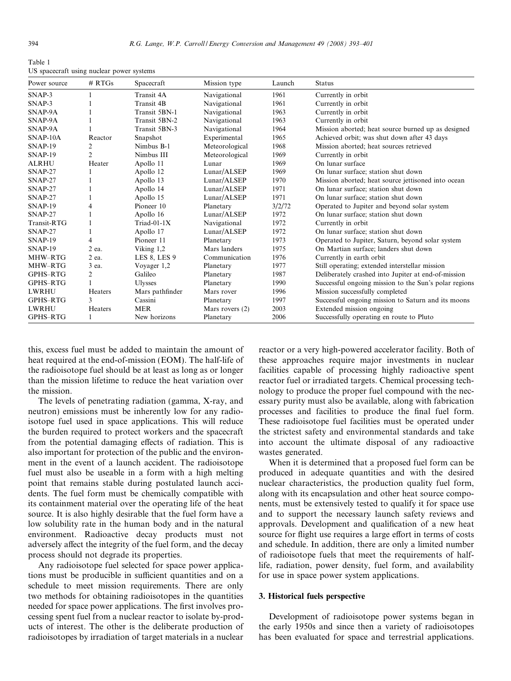<span id="page-1-0"></span>Table 1 US spacecraft using nuclear power systems

| Power source       | # RTGs         | Spacecraft      | Mission type      | Launch | <b>Status</b>                                         |
|--------------------|----------------|-----------------|-------------------|--------|-------------------------------------------------------|
| $SNAP-3$           |                | Transit 4A      | Navigational      | 1961   | Currently in orbit                                    |
| SNAP-3             |                | Transit 4B      | Navigational      | 1961   | Currently in orbit                                    |
| SNAP-9A            |                | Transit 5BN-1   | Navigational      | 1963   | Currently in orbit                                    |
| SNAP-9A            |                | Transit 5BN-2   | Navigational      | 1963   | Currently in orbit                                    |
| SNAP-9A            |                | Transit 5BN-3   | Navigational      | 1964   | Mission aborted; heat source burned up as designed    |
| SNAP-10A           | Reactor        | Snapshot        | Experimental      | 1965   | Achieved orbit; was shut down after 43 days           |
| SNAP-19            | 2              | Nimbus B-1      | Meteorological    | 1968   | Mission aborted; heat sources retrieved               |
| $SNAP-19$          | 2              | Nimbus III      | Meteorological    | 1969   | Currently in orbit                                    |
| <b>ALRHU</b>       | Heater         | Apollo 11       | Lunar             | 1969   | On lunar surface                                      |
| SNAP-27            |                | Apollo 12       | Lunar/ALSEP       | 1969   | On lunar surface: station shut down                   |
| $SNAP-27$          |                | Apollo 13       | Lunar/ALSEP       | 1970   | Mission aborted; heat source jettisoned into ocean    |
| SNAP-27            |                | Apollo 14       | Lunar/ALSEP       | 1971   | On lunar surface; station shut down                   |
| SNAP-27            |                | Apollo 15       | Lunar/ALSEP       | 1971   | On lunar surface; station shut down                   |
| SNAP-19            | 4              | Pioneer 10      | Planetary         | 3/2/72 | Operated to Jupiter and beyond solar system           |
| SNAP-27            |                | Apollo 16       | Lunar/ALSEP       | 1972   | On lunar surface; station shut down                   |
| <b>Transit-RTG</b> |                | $Triad-01-1X$   | Navigational      | 1972   | Currently in orbit                                    |
| $SNAP-27$          |                | Apollo 17       | Lunar/ALSEP       | 1972   | On lunar surface; station shut down                   |
| $SNAP-19$          | 4              | Pioneer 11      | Planetary         | 1973   | Operated to Jupiter, Saturn, beyond solar system      |
| SNAP-19            | 2 ea.          | Viking 1,2      | Mars landers      | 1975   | On Martian surface; landers shut down                 |
| MHW-RTG            | 2 ea.          | LES 8, LES 9    | Communication     | 1976   | Currently in earth orbit                              |
| MHW-RTG            | 3 ea.          | Voyager 1,2     | Planetary         | 1977   | Still operating; extended interstellar mission        |
| GPHS-RTG           | 2              | Galileo         | Planetary         | 1987   | Deliberately crashed into Jupiter at end-of-mission   |
| GPHS-RTG           |                | <b>Ulysses</b>  | Planetary         | 1990   | Successful ongoing mission to the Sun's polar regions |
| <b>LWRHU</b>       | Heaters        | Mars pathfinder | Mars rover        | 1996   | Mission successfully completed                        |
| GPHS-RTG           | $\mathbf{3}$   | Cassini         | Planetary         | 1997   | Successful ongoing mission to Saturn and its moons    |
| <b>LWRHU</b>       | <b>Heaters</b> | <b>MER</b>      | Mars rovers $(2)$ | 2003   | Extended mission ongoing                              |
| GPHS-RTG           |                | New horizons    | Planetary         | 2006   | Successfully operating en route to Pluto              |

this, excess fuel must be added to maintain the amount of heat required at the end-of-mission (EOM). The half-life of the radioisotope fuel should be at least as long as or longer than the mission lifetime to reduce the heat variation over the mission.

The levels of penetrating radiation (gamma, X-ray, and neutron) emissions must be inherently low for any radioisotope fuel used in space applications. This will reduce the burden required to protect workers and the spacecraft from the potential damaging effects of radiation. This is also important for protection of the public and the environment in the event of a launch accident. The radioisotope fuel must also be useable in a form with a high melting point that remains stable during postulated launch accidents. The fuel form must be chemically compatible with its containment material over the operating life of the heat source. It is also highly desirable that the fuel form have a low solubility rate in the human body and in the natural environment. Radioactive decay products must not adversely affect the integrity of the fuel form, and the decay process should not degrade its properties.

Any radioisotope fuel selected for space power applications must be producible in sufficient quantities and on a schedule to meet mission requirements. There are only two methods for obtaining radioisotopes in the quantities needed for space power applications. The first involves processing spent fuel from a nuclear reactor to isolate by-products of interest. The other is the deliberate production of radioisotopes by irradiation of target materials in a nuclear reactor or a very high-powered accelerator facility. Both of these approaches require major investments in nuclear facilities capable of processing highly radioactive spent reactor fuel or irradiated targets. Chemical processing technology to produce the proper fuel compound with the necessary purity must also be available, along with fabrication processes and facilities to produce the final fuel form. These radioisotope fuel facilities must be operated under the strictest safety and environmental standards and take into account the ultimate disposal of any radioactive wastes generated.

When it is determined that a proposed fuel form can be produced in adequate quantities and with the desired nuclear characteristics, the production quality fuel form, along with its encapsulation and other heat source components, must be extensively tested to qualify it for space use and to support the necessary launch safety reviews and approvals. Development and qualification of a new heat source for flight use requires a large effort in terms of costs and schedule. In addition, there are only a limited number of radioisotope fuels that meet the requirements of halflife, radiation, power density, fuel form, and availability for use in space power system applications.

## 3. Historical fuels perspective

Development of radioisotope power systems began in the early 1950s and since then a variety of radioisotopes has been evaluated for space and terrestrial applications.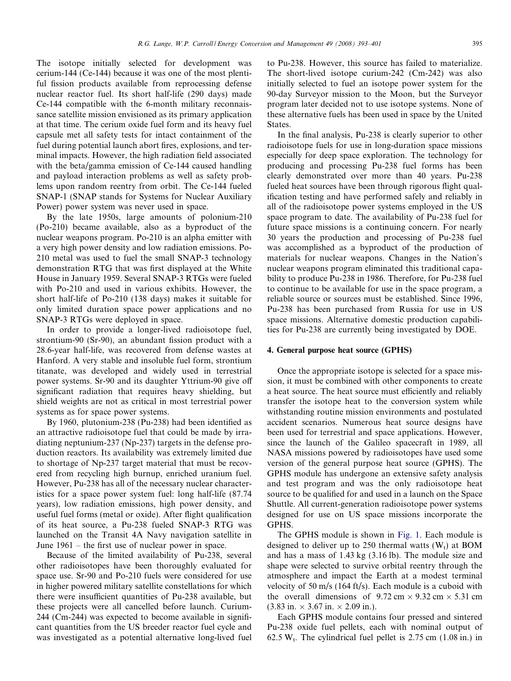The isotope initially selected for development was cerium-144 (Ce-144) because it was one of the most plentiful fission products available from reprocessing defense nuclear reactor fuel. Its short half-life (290 days) made Ce-144 compatible with the 6-month military reconnaissance satellite mission envisioned as its primary application at that time. The cerium oxide fuel form and its heavy fuel capsule met all safety tests for intact containment of the fuel during potential launch abort fires, explosions, and terminal impacts. However, the high radiation field associated with the beta/gamma emission of Ce-144 caused handling and payload interaction problems as well as safety problems upon random reentry from orbit. The Ce-144 fueled SNAP-1 (SNAP stands for Systems for Nuclear Auxiliary Power) power system was never used in space.

By the late 1950s, large amounts of polonium-210 (Po-210) became available, also as a byproduct of the nuclear weapons program. Po-210 is an alpha emitter with a very high power density and low radiation emissions. Po-210 metal was used to fuel the small SNAP-3 technology demonstration RTG that was first displayed at the White House in January 1959. Several SNAP-3 RTGs were fueled with Po-210 and used in various exhibits. However, the short half-life of Po-210 (138 days) makes it suitable for only limited duration space power applications and no SNAP-3 RTGs were deployed in space.

In order to provide a longer-lived radioisotope fuel, strontium-90 (Sr-90), an abundant fission product with a 28.6-year half-life, was recovered from defense wastes at Hanford. A very stable and insoluble fuel form, strontium titanate, was developed and widely used in terrestrial power systems. Sr-90 and its daughter Yttrium-90 give off significant radiation that requires heavy shielding, but shield weights are not as critical in most terrestrial power systems as for space power systems.

By 1960, plutonium-238 (Pu-238) had been identified as an attractive radioisotope fuel that could be made by irradiating neptunium-237 (Np-237) targets in the defense production reactors. Its availability was extremely limited due to shortage of Np-237 target material that must be recovered from recycling high burnup, enriched uranium fuel. However, Pu-238 has all of the necessary nuclear characteristics for a space power system fuel: long half-life (87.74 years), low radiation emissions, high power density, and useful fuel forms (metal or oxide). After flight qualification of its heat source, a Pu-238 fueled SNAP-3 RTG was launched on the Transit 4A Navy navigation satellite in June 1961 – the first use of nuclear power in space.

Because of the limited availability of Pu-238, several other radioisotopes have been thoroughly evaluated for space use. Sr-90 and Po-210 fuels were considered for use in higher powered military satellite constellations for which there were insufficient quantities of Pu-238 available, but these projects were all cancelled before launch. Curium-244 (Cm-244) was expected to become available in significant quantities from the US breeder reactor fuel cycle and was investigated as a potential alternative long-lived fuel to Pu-238. However, this source has failed to materialize. The short-lived isotope curium-242 (Cm-242) was also initially selected to fuel an isotope power system for the 90-day Surveyor mission to the Moon, but the Surveyor program later decided not to use isotope systems. None of these alternative fuels has been used in space by the United **States**.

In the final analysis, Pu-238 is clearly superior to other radioisotope fuels for use in long-duration space missions especially for deep space exploration. The technology for producing and processing Pu-238 fuel forms has been clearly demonstrated over more than 40 years. Pu-238 fueled heat sources have been through rigorous flight qualification testing and have performed safely and reliably in all of the radioisotope power systems employed in the US space program to date. The availability of Pu-238 fuel for future space missions is a continuing concern. For nearly 30 years the production and processing of Pu-238 fuel was accomplished as a byproduct of the production of materials for nuclear weapons. Changes in the Nation's nuclear weapons program eliminated this traditional capability to produce Pu-238 in 1986. Therefore, for Pu-238 fuel to continue to be available for use in the space program, a reliable source or sources must be established. Since 1996, Pu-238 has been purchased from Russia for use in US space missions. Alternative domestic production capabilities for Pu-238 are currently being investigated by DOE.

#### 4. General purpose heat source (GPHS)

Once the appropriate isotope is selected for a space mission, it must be combined with other components to create a heat source. The heat source must efficiently and reliably transfer the isotope heat to the conversion system while withstanding routine mission environments and postulated accident scenarios. Numerous heat source designs have been used for terrestrial and space applications. However, since the launch of the Galileo spacecraft in 1989, all NASA missions powered by radioisotopes have used some version of the general purpose heat source (GPHS). The GPHS module has undergone an extensive safety analysis and test program and was the only radioisotope heat source to be qualified for and used in a launch on the Space Shuttle. All current-generation radioisotope power systems designed for use on US space missions incorporate the GPHS.

The GPHS module is shown in [Fig. 1](#page-3-0). Each module is designed to deliver up to 250 thermal watts  $(W_t)$  at BOM and has a mass of 1.43 kg (3.16 lb). The module size and shape were selected to survive orbital reentry through the atmosphere and impact the Earth at a modest terminal velocity of 50 m/s (164 ft/s). Each module is a cuboid with the overall dimensions of  $9.72 \text{ cm} \times 9.32 \text{ cm} \times 5.31 \text{ cm}$  $(3.83 \text{ in.} \times 3.67 \text{ in.} \times 2.09 \text{ in.}).$ 

Each GPHS module contains four pressed and sintered Pu-238 oxide fuel pellets, each with nominal output of 62.5 W<sub>t</sub>. The cylindrical fuel pellet is 2.75 cm  $(1.08 \text{ in.})$  in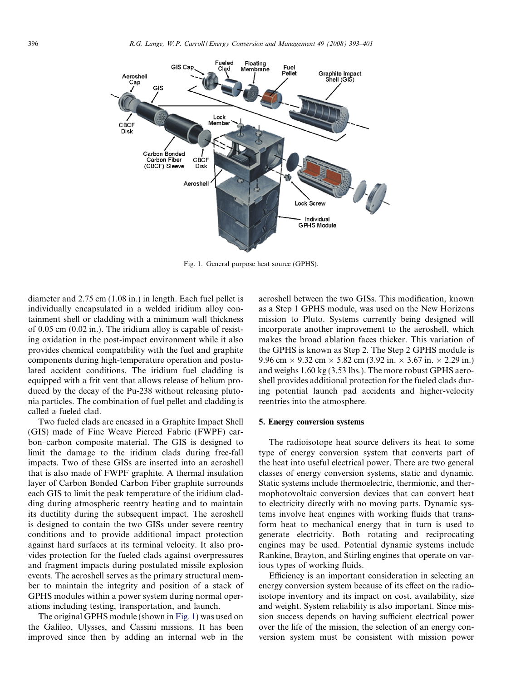<span id="page-3-0"></span>

Fig. 1. General purpose heat source (GPHS).

diameter and 2.75 cm (1.08 in.) in length. Each fuel pellet is individually encapsulated in a welded iridium alloy containment shell or cladding with a minimum wall thickness of 0.05 cm (0.02 in.). The iridium alloy is capable of resisting oxidation in the post-impact environment while it also provides chemical compatibility with the fuel and graphite components during high-temperature operation and postulated accident conditions. The iridium fuel cladding is equipped with a frit vent that allows release of helium produced by the decay of the Pu-238 without releasing plutonia particles. The combination of fuel pellet and cladding is called a fueled clad.

Two fueled clads are encased in a Graphite Impact Shell (GIS) made of Fine Weave Pierced Fabric (FWPF) carbon–carbon composite material. The GIS is designed to limit the damage to the iridium clads during free-fall impacts. Two of these GISs are inserted into an aeroshell that is also made of FWPF graphite. A thermal insulation layer of Carbon Bonded Carbon Fiber graphite surrounds each GIS to limit the peak temperature of the iridium cladding during atmospheric reentry heating and to maintain its ductility during the subsequent impact. The aeroshell is designed to contain the two GISs under severe reentry conditions and to provide additional impact protection against hard surfaces at its terminal velocity. It also provides protection for the fueled clads against overpressures and fragment impacts during postulated missile explosion events. The aeroshell serves as the primary structural member to maintain the integrity and position of a stack of GPHS modules within a power system during normal operations including testing, transportation, and launch.

The original GPHS module (shown in Fig. 1) was used on the Galileo, Ulysses, and Cassini missions. It has been improved since then by adding an internal web in the aeroshell between the two GISs. This modification, known as a Step 1 GPHS module, was used on the New Horizons mission to Pluto. Systems currently being designed will incorporate another improvement to the aeroshell, which makes the broad ablation faces thicker. This variation of the GPHS is known as Step 2. The Step 2 GPHS module is 9.96 cm  $\times$  9.32 cm  $\times$  5.82 cm (3.92 in.  $\times$  3.67 in.  $\times$  2.29 in.) and weighs 1.60 kg (3.53 lbs.). The more robust GPHS aeroshell provides additional protection for the fueled clads during potential launch pad accidents and higher-velocity reentries into the atmosphere.

#### 5. Energy conversion systems

The radioisotope heat source delivers its heat to some type of energy conversion system that converts part of the heat into useful electrical power. There are two general classes of energy conversion systems, static and dynamic. Static systems include thermoelectric, thermionic, and thermophotovoltaic conversion devices that can convert heat to electricity directly with no moving parts. Dynamic systems involve heat engines with working fluids that transform heat to mechanical energy that in turn is used to generate electricity. Both rotating and reciprocating engines may be used. Potential dynamic systems include Rankine, Brayton, and Stirling engines that operate on various types of working fluids.

Efficiency is an important consideration in selecting an energy conversion system because of its effect on the radioisotope inventory and its impact on cost, availability, size and weight. System reliability is also important. Since mission success depends on having sufficient electrical power over the life of the mission, the selection of an energy conversion system must be consistent with mission power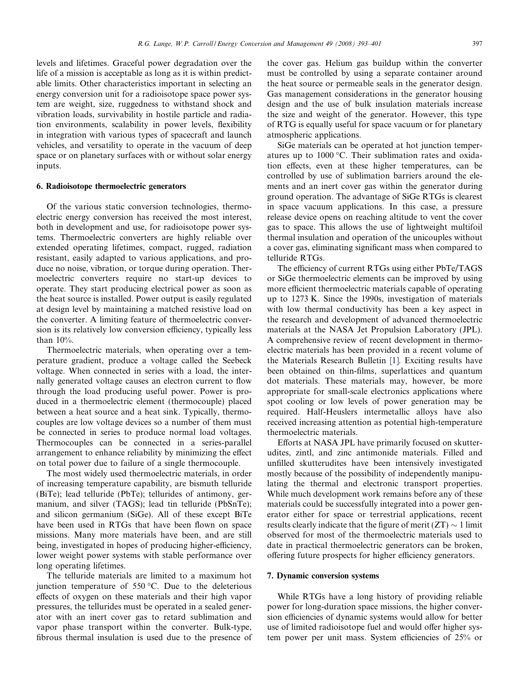levels and lifetimes. Graceful power degradation over the life of a mission is acceptable as long as it is within predictable limits. Other characteristics important in selecting an energy conversion unit for a radioisotope space power system are weight, size, ruggedness to withstand shock and vibration loads, survivability in hostile particle and radiation environments, scalability in power levels, flexibility in integration with various types of spacecraft and launch vehicles, and versatility to operate in the vacuum of deep space or on planetary surfaces with or without solar energy inputs.

## 6. Radioisotope thermoelectric generators

Of the various static conversion technologies, thermoelectric energy conversion has received the most interest, both in development and use, for radioisotope power systems. Thermoelectric converters are highly reliable over extended operating lifetimes, compact, rugged, radiation resistant, easily adapted to various applications, and produce no noise, vibration, or torque during operation. Thermoelectric converters require no start-up devices to operate. They start producing electrical power as soon as the heat source is installed. Power output is easily regulated at design level by maintaining a matched resistive load on the converter. A limiting feature of thermoelectric conversion is its relatively low conversion efficiency, typically less than  $10\%$ .

Thermoelectric materials, when operating over a temperature gradient, produce a voltage called the Seebeck voltage. When connected in series with a load, the internally generated voltage causes an electron current to flow through the load producing useful power. Power is produced in a thermoelectric element (thermocouple) placed between a heat source and a heat sink. Typically, thermocouples are low voltage devices so a number of them must be connected in series to produce normal load voltages. Thermocouples can be connected in a series-parallel arrangement to enhance reliability by minimizing the effect on total power due to failure of a single thermocouple.

The most widely used thermoelectric materials, in order of increasing temperature capability, are bismuth telluride (BiTe); lead telluride (PbTe); tellurides of antimony, germanium, and silver (TAGS); lead tin telluride (PbSnTe); and silicon germanium (SiGe). All of these except BiTe have been used in RTGs that have been flown on space missions. Many more materials have been, and are still being, investigated in hopes of producing higher-efficiency, lower weight power systems with stable performance over long operating lifetimes.

The telluride materials are limited to a maximum hot junction temperature of 550  $\degree$ C. Due to the deleterious effects of oxygen on these materials and their high vapor pressures, the tellurides must be operated in a sealed generator with an inert cover gas to retard sublimation and vapor phase transport within the converter. Bulk-type, fibrous thermal insulation is used due to the presence of the cover gas. Helium gas buildup within the converter must be controlled by using a separate container around the heat source or permeable seals in the generator design. Gas management considerations in the generator housing design and the use of bulk insulation materials increase the size and weight of the generator. However, this type of RTG is equally useful for space vacuum or for planetary atmospheric applications.

SiGe materials can be operated at hot junction temperatures up to 1000 °C. Their sublimation rates and oxidation effects, even at these higher temperatures, can be controlled by use of sublimation barriers around the elements and an inert cover gas within the generator during ground operation. The advantage of SiGe RTGs is clearest in space vacuum applications. In this case, a pressure release device opens on reaching altitude to vent the cover gas to space. This allows the use of lightweight multifoil thermal insulation and operation of the unicouples without a cover gas, eliminating significant mass when compared to telluride RTGs.

The efficiency of current RTGs using either PbTe/TAGS or SiGe thermoelectric elements can be improved by using more efficient thermoelectric materials capable of operating up to 1273 K. Since the 1990s, investigation of materials with low thermal conductivity has been a key aspect in the research and development of advanced thermoelectric materials at the NASA Jet Propulsion Laboratory (JPL). A comprehensive review of recent development in thermoelectric materials has been provided in a recent volume of the Materials Research Bulletin [\[1\].](#page-8-0) Exciting results have been obtained on thin-films, superlattices and quantum dot materials. These materials may, however, be more appropriate for small-scale electronics applications where spot cooling or low levels of power generation may be required. Half-Heuslers intermetallic alloys have also received increasing attention as potential high-temperature thermoelectric materials.

Efforts at NASA JPL have primarily focused on skutterudites, zintl, and zinc antimonide materials. Filled and unfilled skutterudites have been intensively investigated mostly because of the possibility of independently manipulating the thermal and electronic transport properties. While much development work remains before any of these materials could be successfully integrated into a power generator either for space or terrestrial applications, recent results clearly indicate that the figure of merit  $(ZT) \sim 1$  limit observed for most of the thermoelectric materials used to date in practical thermoelectric generators can be broken, offering future prospects for higher efficiency generators.

#### 7. Dynamic conversion systems

While RTGs have a long history of providing reliable power for long-duration space missions, the higher conversion efficiencies of dynamic systems would allow for better use of limited radioisotope fuel and would offer higher system power per unit mass. System efficiencies of 25% or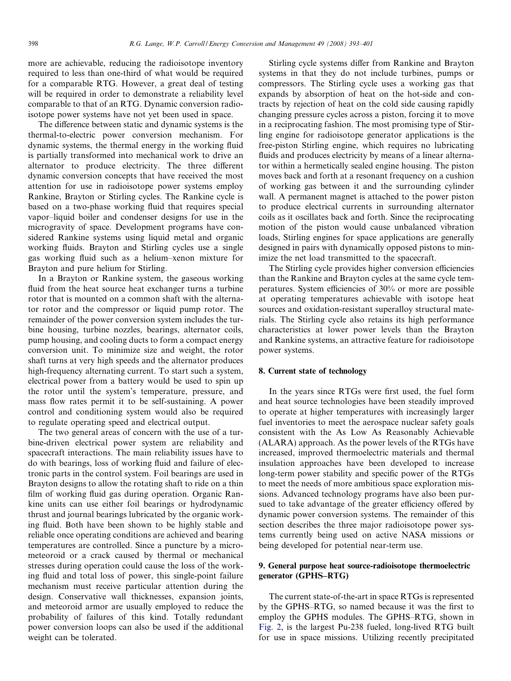more are achievable, reducing the radioisotope inventory required to less than one-third of what would be required for a comparable RTG. However, a great deal of testing will be required in order to demonstrate a reliability level comparable to that of an RTG. Dynamic conversion radioisotope power systems have not yet been used in space.

The difference between static and dynamic systems is the thermal-to-electric power conversion mechanism. For dynamic systems, the thermal energy in the working fluid is partially transformed into mechanical work to drive an alternator to produce electricity. The three different dynamic conversion concepts that have received the most attention for use in radioisotope power systems employ Rankine, Brayton or Stirling cycles. The Rankine cycle is based on a two-phase working fluid that requires special vapor–liquid boiler and condenser designs for use in the microgravity of space. Development programs have considered Rankine systems using liquid metal and organic working fluids. Brayton and Stirling cycles use a single gas working fluid such as a helium–xenon mixture for Brayton and pure helium for Stirling.

In a Brayton or Rankine system, the gaseous working fluid from the heat source heat exchanger turns a turbine rotor that is mounted on a common shaft with the alternator rotor and the compressor or liquid pump rotor. The remainder of the power conversion system includes the turbine housing, turbine nozzles, bearings, alternator coils, pump housing, and cooling ducts to form a compact energy conversion unit. To minimize size and weight, the rotor shaft turns at very high speeds and the alternator produces high-frequency alternating current. To start such a system, electrical power from a battery would be used to spin up the rotor until the system's temperature, pressure, and mass flow rates permit it to be self-sustaining. A power control and conditioning system would also be required to regulate operating speed and electrical output.

The two general areas of concern with the use of a turbine-driven electrical power system are reliability and spacecraft interactions. The main reliability issues have to do with bearings, loss of working fluid and failure of electronic parts in the control system. Foil bearings are used in Brayton designs to allow the rotating shaft to ride on a thin film of working fluid gas during operation. Organic Rankine units can use either foil bearings or hydrodynamic thrust and journal bearings lubricated by the organic working fluid. Both have been shown to be highly stable and reliable once operating conditions are achieved and bearing temperatures are controlled. Since a puncture by a micrometeoroid or a crack caused by thermal or mechanical stresses during operation could cause the loss of the working fluid and total loss of power, this single-point failure mechanism must receive particular attention during the design. Conservative wall thicknesses, expansion joints, and meteoroid armor are usually employed to reduce the probability of failures of this kind. Totally redundant power conversion loops can also be used if the additional weight can be tolerated.

Stirling cycle systems differ from Rankine and Brayton systems in that they do not include turbines, pumps or compressors. The Stirling cycle uses a working gas that expands by absorption of heat on the hot-side and contracts by rejection of heat on the cold side causing rapidly changing pressure cycles across a piston, forcing it to move in a reciprocating fashion. The most promising type of Stirling engine for radioisotope generator applications is the free-piston Stirling engine, which requires no lubricating fluids and produces electricity by means of a linear alternator within a hermetically sealed engine housing. The piston moves back and forth at a resonant frequency on a cushion of working gas between it and the surrounding cylinder wall. A permanent magnet is attached to the power piston to produce electrical currents in surrounding alternator coils as it oscillates back and forth. Since the reciprocating motion of the piston would cause unbalanced vibration loads, Stirling engines for space applications are generally designed in pairs with dynamically opposed pistons to minimize the net load transmitted to the spacecraft.

The Stirling cycle provides higher conversion efficiencies than the Rankine and Brayton cycles at the same cycle temperatures. System efficiencies of 30% or more are possible at operating temperatures achievable with isotope heat sources and oxidation-resistant superalloy structural materials. The Stirling cycle also retains its high performance characteristics at lower power levels than the Brayton and Rankine systems, an attractive feature for radioisotope power systems.

# 8. Current state of technology

In the years since RTGs were first used, the fuel form and heat source technologies have been steadily improved to operate at higher temperatures with increasingly larger fuel inventories to meet the aerospace nuclear safety goals consistent with the As Low As Reasonably Achievable (ALARA) approach. As the power levels of the RTGs have increased, improved thermoelectric materials and thermal insulation approaches have been developed to increase long-term power stability and specific power of the RTGs to meet the needs of more ambitious space exploration missions. Advanced technology programs have also been pursued to take advantage of the greater efficiency offered by dynamic power conversion systems. The remainder of this section describes the three major radioisotope power systems currently being used on active NASA missions or being developed for potential near-term use.

# 9. General purpose heat source-radioisotope thermoelectric generator (GPHS–RTG)

The current state-of-the-art in space RTGs is represented by the GPHS–RTG, so named because it was the first to employ the GPHS modules. The GPHS–RTG, shown in [Fig. 2,](#page-6-0) is the largest Pu-238 fueled, long-lived RTG built for use in space missions. Utilizing recently precipitated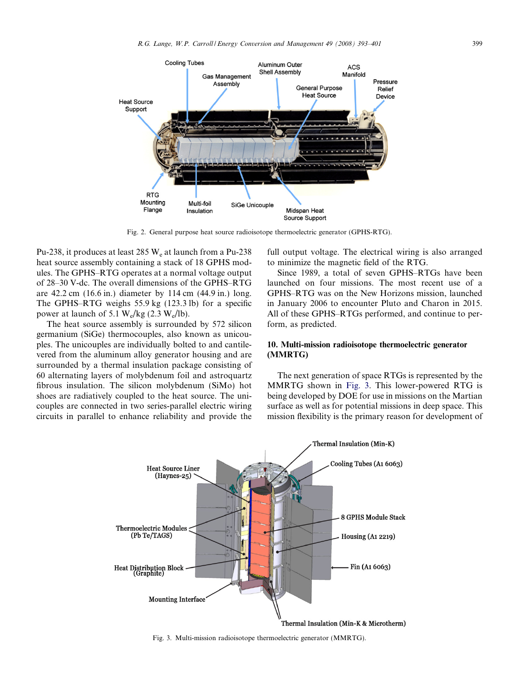<span id="page-6-0"></span>

Fig. 2. General purpose heat source radioisotope thermoelectric generator (GPHS-RTG).

Pu-238, it produces at least  $285 W<sub>e</sub>$  at launch from a Pu-238 heat source assembly containing a stack of 18 GPHS modules. The GPHS–RTG operates at a normal voltage output of 28–30 V-dc. The overall dimensions of the GPHS–RTG are 42.2 cm (16.6 in.) diameter by 114 cm (44.9 in.) long. The GPHS–RTG weighs 55.9 kg (123.3 lb) for a specific power at launch of 5.1  $W_e/kg$  (2.3  $W_e/lb$ ).

The heat source assembly is surrounded by 572 silicon germanium (SiGe) thermocouples, also known as unicouples. The unicouples are individually bolted to and cantilevered from the aluminum alloy generator housing and are surrounded by a thermal insulation package consisting of 60 alternating layers of molybdenum foil and astroquartz fibrous insulation. The silicon molybdenum (SiMo) hot shoes are radiatively coupled to the heat source. The unicouples are connected in two series-parallel electric wiring circuits in parallel to enhance reliability and provide the full output voltage. The electrical wiring is also arranged to minimize the magnetic field of the RTG.

Since 1989, a total of seven GPHS–RTGs have been launched on four missions. The most recent use of a GPHS–RTG was on the New Horizons mission, launched in January 2006 to encounter Pluto and Charon in 2015. All of these GPHS–RTGs performed, and continue to perform, as predicted.

## 10. Multi-mission radioisotope thermoelectric generator (MMRTG)

The next generation of space RTGs is represented by the MMRTG shown in Fig. 3. This lower-powered RTG is being developed by DOE for use in missions on the Martian surface as well as for potential missions in deep space. This mission flexibility is the primary reason for development of



Fig. 3. Multi-mission radioisotope thermoelectric generator (MMRTG).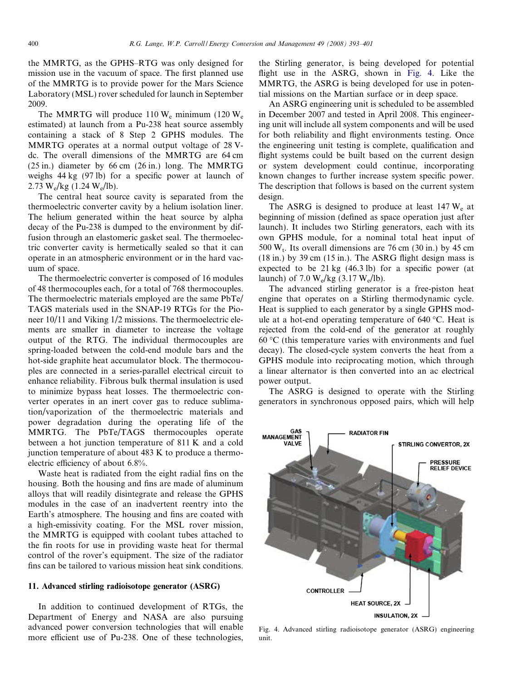the MMRTG, as the GPHS–RTG was only designed for mission use in the vacuum of space. The first planned use of the MMRTG is to provide power for the Mars Science Laboratory (MSL) rover scheduled for launch in September 2009.

The MMRTG will produce  $110 W_e$  minimum (120 W<sub>e</sub> estimated) at launch from a Pu-238 heat source assembly containing a stack of 8 Step 2 GPHS modules. The MMRTG operates at a normal output voltage of 28 Vdc. The overall dimensions of the MMRTG are 64 cm (25 in.) diameter by 66 cm (26 in.) long. The MMRTG weighs 44 kg (97 lb) for a specific power at launch of 2.73 W<sub>e</sub>/kg (1.24 W<sub>e</sub>/lb).

The central heat source cavity is separated from the thermoelectric converter cavity by a helium isolation liner. The helium generated within the heat source by alpha decay of the Pu-238 is dumped to the environment by diffusion through an elastomeric gasket seal. The thermoelectric converter cavity is hermetically sealed so that it can operate in an atmospheric environment or in the hard vacuum of space.

The thermoelectric converter is composed of 16 modules of 48 thermocouples each, for a total of 768 thermocouples. The thermoelectric materials employed are the same PbTe/ TAGS materials used in the SNAP-19 RTGs for the Pioneer 10/11 and Viking 1/2 missions. The thermoelectric elements are smaller in diameter to increase the voltage output of the RTG. The individual thermocouples are spring-loaded between the cold-end module bars and the hot-side graphite heat accumulator block. The thermocouples are connected in a series-parallel electrical circuit to enhance reliability. Fibrous bulk thermal insulation is used to minimize bypass heat losses. The thermoelectric converter operates in an inert cover gas to reduce sublimation/vaporization of the thermoelectric materials and power degradation during the operating life of the MMRTG. The PbTe/TAGS thermocouples operate between a hot junction temperature of 811 K and a cold junction temperature of about 483 K to produce a thermoelectric efficiency of about 6.8%.

Waste heat is radiated from the eight radial fins on the housing. Both the housing and fins are made of aluminum alloys that will readily disintegrate and release the GPHS modules in the case of an inadvertent reentry into the Earth's atmosphere. The housing and fins are coated with a high-emissivity coating. For the MSL rover mission, the MMRTG is equipped with coolant tubes attached to the fin roots for use in providing waste heat for thermal control of the rover's equipment. The size of the radiator fins can be tailored to various mission heat sink conditions.

## 11. Advanced stirling radioisotope generator (ASRG)

In addition to continued development of RTGs, the Department of Energy and NASA are also pursuing advanced power conversion technologies that will enable more efficient use of Pu-238. One of these technologies,

the Stirling generator, is being developed for potential flight use in the ASRG, shown in Fig. 4. Like the MMRTG, the ASRG is being developed for use in potential missions on the Martian surface or in deep space.

An ASRG engineering unit is scheduled to be assembled in December 2007 and tested in April 2008. This engineering unit will include all system components and will be used for both reliability and flight environments testing. Once the engineering unit testing is complete, qualification and flight systems could be built based on the current design or system development could continue, incorporating known changes to further increase system specific power. The description that follows is based on the current system design.

The ASRG is designed to produce at least  $147 W<sub>e</sub>$  at beginning of mission (defined as space operation just after launch). It includes two Stirling generators, each with its own GPHS module, for a nominal total heat input of 500  $W_t$ . Its overall dimensions are 76 cm (30 in.) by 45 cm (18 in.) by 39 cm (15 in.). The ASRG flight design mass is expected to be 21 kg (46.3 lb) for a specific power (at launch) of 7.0  $W_e/kg$  (3.17  $W_e/lb$ ).

The advanced stirling generator is a free-piston heat engine that operates on a Stirling thermodynamic cycle. Heat is supplied to each generator by a single GPHS module at a hot-end operating temperature of  $640^{\circ}$ C. Heat is rejected from the cold-end of the generator at roughly  $60^{\circ}$ C (this temperature varies with environments and fuel decay). The closed-cycle system converts the heat from a GPHS module into reciprocating motion, which through a linear alternator is then converted into an ac electrical power output.

The ASRG is designed to operate with the Stirling generators in synchronous opposed pairs, which will help



Fig. 4. Advanced stirling radioisotope generator (ASRG) engineering unit.